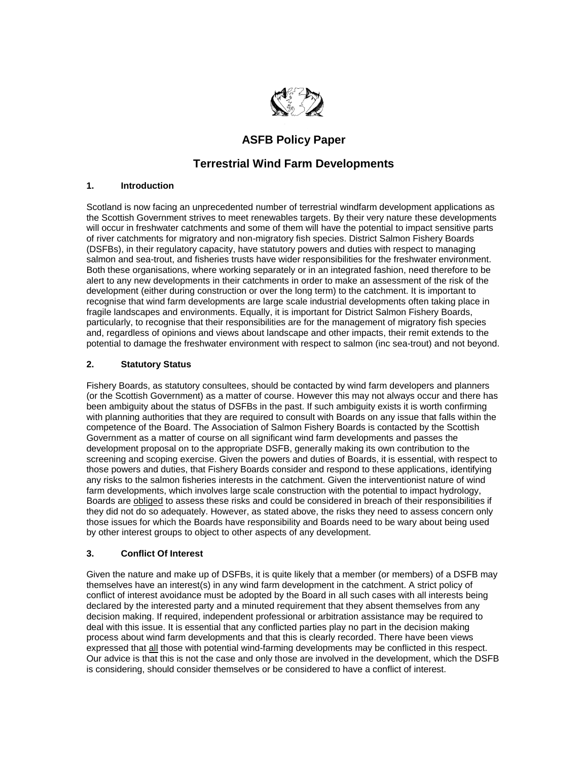

# **ASFB Policy Paper**

## **Terrestrial Wind Farm Developments**

## **1. Introduction**

Scotland is now facing an unprecedented number of terrestrial windfarm development applications as the Scottish Government strives to meet renewables targets. By their very nature these developments will occur in freshwater catchments and some of them will have the potential to impact sensitive parts of river catchments for migratory and non-migratory fish species. District Salmon Fishery Boards (DSFBs), in their regulatory capacity, have statutory powers and duties with respect to managing salmon and sea-trout, and fisheries trusts have wider responsibilities for the freshwater environment. Both these organisations, where working separately or in an integrated fashion, need therefore to be alert to any new developments in their catchments in order to make an assessment of the risk of the development (either during construction or over the long term) to the catchment. It is important to recognise that wind farm developments are large scale industrial developments often taking place in fragile landscapes and environments. Equally, it is important for District Salmon Fishery Boards, particularly, to recognise that their responsibilities are for the management of migratory fish species and, regardless of opinions and views about landscape and other impacts, their remit extends to the potential to damage the freshwater environment with respect to salmon (inc sea-trout) and not beyond.

## **2. Statutory Status**

Fishery Boards, as statutory consultees, should be contacted by wind farm developers and planners (or the Scottish Government) as a matter of course. However this may not always occur and there has been ambiguity about the status of DSFBs in the past. If such ambiguity exists it is worth confirming with planning authorities that they are required to consult with Boards on any issue that falls within the competence of the Board. The Association of Salmon Fishery Boards is contacted by the Scottish Government as a matter of course on all significant wind farm developments and passes the development proposal on to the appropriate DSFB, generally making its own contribution to the screening and scoping exercise. Given the powers and duties of Boards, it is essential, with respect to those powers and duties, that Fishery Boards consider and respond to these applications, identifying any risks to the salmon fisheries interests in the catchment. Given the interventionist nature of wind farm developments, which involves large scale construction with the potential to impact hydrology, Boards are obliged to assess these risks and could be considered in breach of their responsibilities if they did not do so adequately. However, as stated above, the risks they need to assess concern only those issues for which the Boards have responsibility and Boards need to be wary about being used by other interest groups to object to other aspects of any development.

## **3. Conflict Of Interest**

Given the nature and make up of DSFBs, it is quite likely that a member (or members) of a DSFB may themselves have an interest(s) in any wind farm development in the catchment. A strict policy of conflict of interest avoidance must be adopted by the Board in all such cases with all interests being declared by the interested party and a minuted requirement that they absent themselves from any decision making. If required, independent professional or arbitration assistance may be required to deal with this issue. It is essential that any conflicted parties play no part in the decision making process about wind farm developments and that this is clearly recorded. There have been views expressed that all those with potential wind-farming developments may be conflicted in this respect. Our advice is that this is not the case and only those are involved in the development, which the DSFB is considering, should consider themselves or be considered to have a conflict of interest.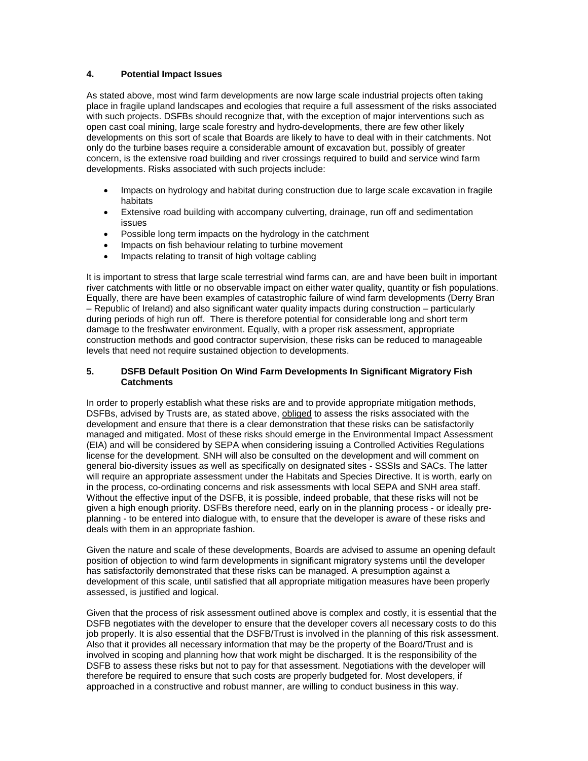#### **4. Potential Impact Issues**

As stated above, most wind farm developments are now large scale industrial projects often taking place in fragile upland landscapes and ecologies that require a full assessment of the risks associated with such projects. DSFBs should recognize that, with the exception of major interventions such as open cast coal mining, large scale forestry and hydro-developments, there are few other likely developments on this sort of scale that Boards are likely to have to deal with in their catchments. Not only do the turbine bases require a considerable amount of excavation but, possibly of greater concern, is the extensive road building and river crossings required to build and service wind farm developments. Risks associated with such projects include:

- Impacts on hydrology and habitat during construction due to large scale excavation in fragile habitats
- Extensive road building with accompany culverting, drainage, run off and sedimentation issues
- Possible long term impacts on the hydrology in the catchment
- Impacts on fish behaviour relating to turbine movement
- Impacts relating to transit of high voltage cabling

It is important to stress that large scale terrestrial wind farms can, are and have been built in important river catchments with little or no observable impact on either water quality, quantity or fish populations. Equally, there are have been examples of catastrophic failure of wind farm developments (Derry Bran – Republic of Ireland) and also significant water quality impacts during construction – particularly during periods of high run off. There is therefore potential for considerable long and short term damage to the freshwater environment. Equally, with a proper risk assessment, appropriate construction methods and good contractor supervision, these risks can be reduced to manageable levels that need not require sustained objection to developments.

#### **5. DSFB Default Position On Wind Farm Developments In Significant Migratory Fish Catchments**

In order to properly establish what these risks are and to provide appropriate mitigation methods, DSFBs, advised by Trusts are, as stated above, obliged to assess the risks associated with the development and ensure that there is a clear demonstration that these risks can be satisfactorily managed and mitigated. Most of these risks should emerge in the Environmental Impact Assessment (EIA) and will be considered by SEPA when considering issuing a Controlled Activities Regulations license for the development. SNH will also be consulted on the development and will comment on general bio-diversity issues as well as specifically on designated sites - SSSIs and SACs. The latter will require an appropriate assessment under the Habitats and Species Directive. It is worth, early on in the process, co-ordinating concerns and risk assessments with local SEPA and SNH area staff. Without the effective input of the DSFB, it is possible, indeed probable, that these risks will not be given a high enough priority. DSFBs therefore need, early on in the planning process - or ideally preplanning - to be entered into dialogue with, to ensure that the developer is aware of these risks and deals with them in an appropriate fashion.

Given the nature and scale of these developments, Boards are advised to assume an opening default position of objection to wind farm developments in significant migratory systems until the developer has satisfactorily demonstrated that these risks can be managed. A presumption against a development of this scale, until satisfied that all appropriate mitigation measures have been properly assessed, is justified and logical.

Given that the process of risk assessment outlined above is complex and costly, it is essential that the DSFB negotiates with the developer to ensure that the developer covers all necessary costs to do this job properly. It is also essential that the DSFB/Trust is involved in the planning of this risk assessment. Also that it provides all necessary information that may be the property of the Board/Trust and is involved in scoping and planning how that work might be discharged. It is the responsibility of the DSFB to assess these risks but not to pay for that assessment. Negotiations with the developer will therefore be required to ensure that such costs are properly budgeted for. Most developers, if approached in a constructive and robust manner, are willing to conduct business in this way.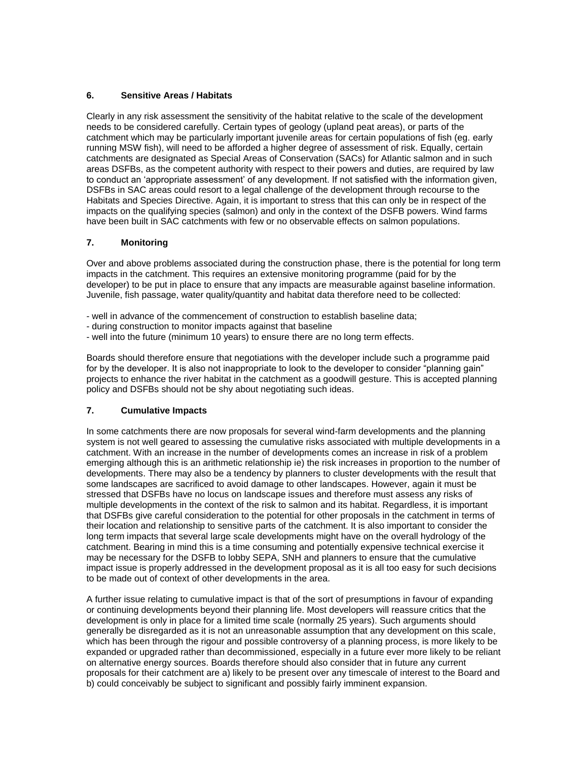## **6. Sensitive Areas / Habitats**

Clearly in any risk assessment the sensitivity of the habitat relative to the scale of the development needs to be considered carefully. Certain types of geology (upland peat areas), or parts of the catchment which may be particularly important juvenile areas for certain populations of fish (eg. early running MSW fish), will need to be afforded a higher degree of assessment of risk. Equally, certain catchments are designated as Special Areas of Conservation (SACs) for Atlantic salmon and in such areas DSFBs, as the competent authority with respect to their powers and duties, are required by law to conduct an "appropriate assessment" of any development. If not satisfied with the information given, DSFBs in SAC areas could resort to a legal challenge of the development through recourse to the Habitats and Species Directive. Again, it is important to stress that this can only be in respect of the impacts on the qualifying species (salmon) and only in the context of the DSFB powers. Wind farms have been built in SAC catchments with few or no observable effects on salmon populations.

## **7. Monitoring**

Over and above problems associated during the construction phase, there is the potential for long term impacts in the catchment. This requires an extensive monitoring programme (paid for by the developer) to be put in place to ensure that any impacts are measurable against baseline information. Juvenile, fish passage, water quality/quantity and habitat data therefore need to be collected:

- well in advance of the commencement of construction to establish baseline data;
- during construction to monitor impacts against that baseline
- well into the future (minimum 10 years) to ensure there are no long term effects.

Boards should therefore ensure that negotiations with the developer include such a programme paid for by the developer. It is also not inappropriate to look to the developer to consider "planning gain" projects to enhance the river habitat in the catchment as a goodwill gesture. This is accepted planning policy and DSFBs should not be shy about negotiating such ideas.

#### **7. Cumulative Impacts**

In some catchments there are now proposals for several wind-farm developments and the planning system is not well geared to assessing the cumulative risks associated with multiple developments in a catchment. With an increase in the number of developments comes an increase in risk of a problem emerging although this is an arithmetic relationship ie) the risk increases in proportion to the number of developments. There may also be a tendency by planners to cluster developments with the result that some landscapes are sacrificed to avoid damage to other landscapes. However, again it must be stressed that DSFBs have no locus on landscape issues and therefore must assess any risks of multiple developments in the context of the risk to salmon and its habitat. Regardless, it is important that DSFBs give careful consideration to the potential for other proposals in the catchment in terms of their location and relationship to sensitive parts of the catchment. It is also important to consider the long term impacts that several large scale developments might have on the overall hydrology of the catchment. Bearing in mind this is a time consuming and potentially expensive technical exercise it may be necessary for the DSFB to lobby SEPA, SNH and planners to ensure that the cumulative impact issue is properly addressed in the development proposal as it is all too easy for such decisions to be made out of context of other developments in the area.

A further issue relating to cumulative impact is that of the sort of presumptions in favour of expanding or continuing developments beyond their planning life. Most developers will reassure critics that the development is only in place for a limited time scale (normally 25 years). Such arguments should generally be disregarded as it is not an unreasonable assumption that any development on this scale, which has been through the rigour and possible controversy of a planning process, is more likely to be expanded or upgraded rather than decommissioned, especially in a future ever more likely to be reliant on alternative energy sources. Boards therefore should also consider that in future any current proposals for their catchment are a) likely to be present over any timescale of interest to the Board and b) could conceivably be subject to significant and possibly fairly imminent expansion.